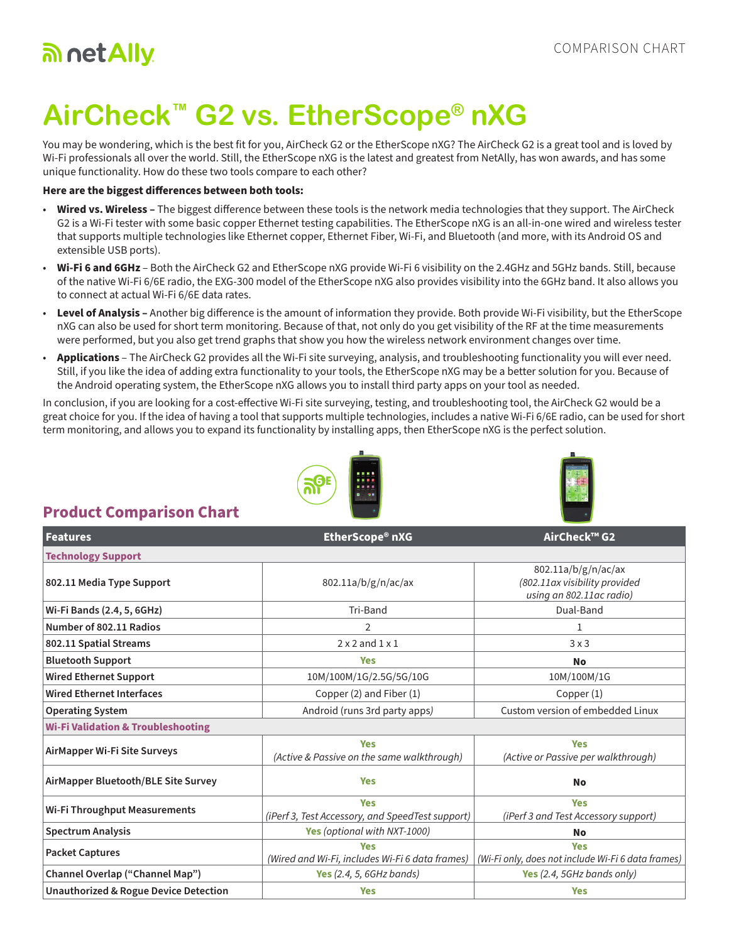## an net Ally

# **AirCheck™ G2 vs. EtherScope® nXG**

You may be wondering, which is the best fit for you, AirCheck G2 or the EtherScope nXG? The AirCheck G2 is a great tool and is loved by Wi-Fi professionals all over the world. Still, the EtherScope nXG is the latest and greatest from NetAlly, has won awards, and has some unique functionality. How do these two tools compare to each other?

#### **Here are the biggest differences between both tools:**

- **Wired vs. Wireless –** The biggest difference between these tools is the network media technologies that they support. The AirCheck G2 is a Wi-Fi tester with some basic copper Ethernet testing capabilities. The EtherScope nXG is an all-in-one wired and wireless tester that supports multiple technologies like Ethernet copper, Ethernet Fiber, Wi-Fi, and Bluetooth (and more, with its Android OS and extensible USB ports).
- **Wi-Fi 6 and 6GHz**  Both the AirCheck G2 and EtherScope nXG provide Wi-Fi 6 visibility on the 2.4GHz and 5GHz bands. Still, because of the native Wi-Fi 6/6E radio, the EXG-300 model of the EtherScope nXG also provides visibility into the 6GHz band. It also allows you to connect at actual Wi-Fi 6/6E data rates.
- Level of Analysis Another big difference is the amount of information they provide. Both provide Wi-Fi visibility, but the EtherScope nXG can also be used for short term monitoring. Because of that, not only do you get visibility of the RF at the time measurements were performed, but you also get trend graphs that show you how the wireless network environment changes over time.
- **Applications**  The AirCheck G2 provides all the Wi-Fi site surveying, analysis, and troubleshooting functionality you will ever need. Still, if you like the idea of adding extra functionality to your tools, the EtherScope nXG may be a better solution for you. Because of the Android operating system, the EtherScope nXG allows you to install third party apps on your tool as needed.

In conclusion, if you are looking for a cost-effective Wi-Fi site surveying, testing, and troubleshooting tool, the AirCheck G2 would be a great choice for you. If the idea of having a tool that supports multiple technologies, includes a native Wi-Fi 6/6E radio, can be used for short term monitoring, and allows you to expand its functionality by installing apps, then EtherScope nXG is the perfect solution.





### **Product Comparison Chart**

| <b>Features</b>                                  | EtherScope® nXG                                                | AirCheck™ G2                                                                     |  |
|--------------------------------------------------|----------------------------------------------------------------|----------------------------------------------------------------------------------|--|
| <b>Technology Support</b>                        |                                                                |                                                                                  |  |
| 802.11 Media Type Support                        | 802.11a/b/g/n/ac/ax                                            | 802.11a/b/g/n/ac/ax<br>(802.11ax visibility provided<br>using an 802.11ac radio) |  |
| Wi-Fi Bands (2.4, 5, 6GHz)                       | Tri-Band                                                       | Dual-Band                                                                        |  |
| Number of 802.11 Radios                          | $\overline{2}$                                                 | 1                                                                                |  |
| 802.11 Spatial Streams                           | $2 \times 2$ and $1 \times 1$                                  | 3x3                                                                              |  |
| <b>Bluetooth Support</b>                         | <b>Yes</b>                                                     | No                                                                               |  |
| <b>Wired Ethernet Support</b>                    | 10M/100M/1G/2.5G/5G/10G                                        | 10M/100M/1G                                                                      |  |
| <b>Wired Ethernet Interfaces</b>                 | Copper (2) and Fiber (1)                                       | Copper (1)                                                                       |  |
| <b>Operating System</b>                          | Android (runs 3rd party apps)                                  | Custom version of embedded Linux                                                 |  |
| <b>Wi-Fi Validation &amp; Troubleshooting</b>    |                                                                |                                                                                  |  |
| AirMapper Wi-Fi Site Surveys                     | <b>Yes</b><br>(Active & Passive on the same walkthrough)       | <b>Yes</b><br>(Active or Passive per walkthrough)                                |  |
| AirMapper Bluetooth/BLE Site Survey              | <b>Yes</b>                                                     | <b>No</b>                                                                        |  |
| <b>Wi-Fi Throughput Measurements</b>             | <b>Yes</b><br>(iPerf 3, Test Accessory, and SpeedTest support) | <b>Yes</b><br>(iPerf 3 and Test Accessory support)                               |  |
| <b>Spectrum Analysis</b>                         | Yes (optional with NXT-1000)                                   | No                                                                               |  |
| <b>Packet Captures</b>                           | <b>Yes</b><br>(Wired and Wi-Fi, includes Wi-Fi 6 data frames)  | <b>Yes</b><br>(Wi-Fi only, does not include Wi-Fi 6 data frames)                 |  |
| Channel Overlap ("Channel Map")                  | Yes $(2.4, 5, 6GHz bands)$                                     | Yes (2.4, 5GHz bands only)                                                       |  |
| <b>Unauthorized &amp; Rogue Device Detection</b> | <b>Yes</b>                                                     | <b>Yes</b>                                                                       |  |